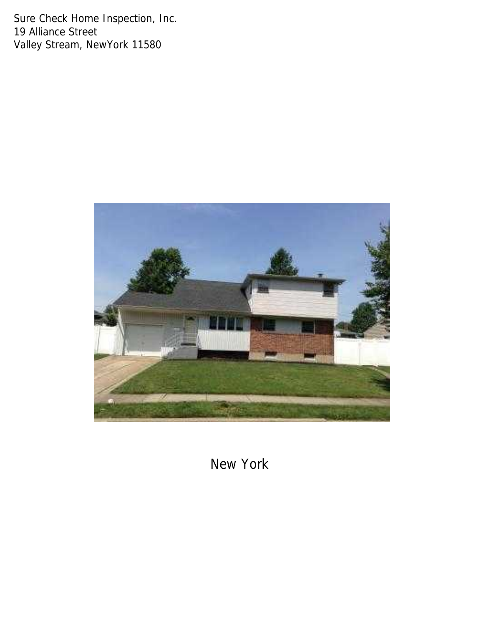Sure Check Home Inspection, Inc. 19 Alliance Street Valley Stream, NewYork 11580



New York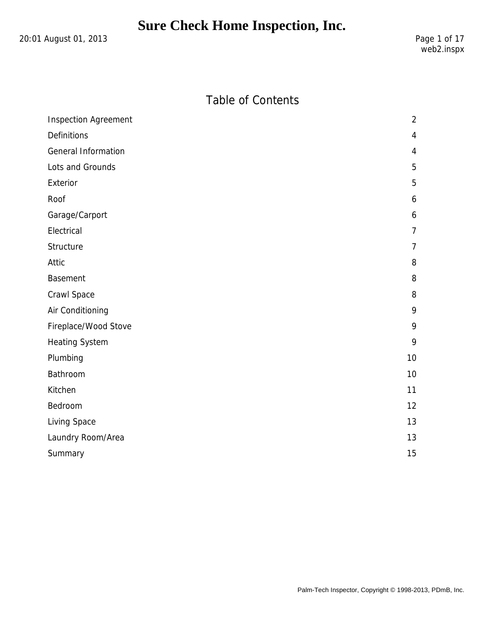20:01 August 01, 2013 20:01 August 01, 2013

### Table of Contents

| <b>Inspection Agreement</b> | $\overline{2}$ |
|-----------------------------|----------------|
| Definitions                 | $\overline{4}$ |
| General Information         | 4              |
| Lots and Grounds            | 5              |
| Exterior                    | 5              |
| Roof                        | 6              |
| Garage/Carport              | 6              |
| Electrical                  | $\overline{7}$ |
| Structure                   | $\overline{7}$ |
| Attic                       | 8              |
| <b>Basement</b>             | 8              |
| Crawl Space                 | 8              |
| Air Conditioning            | 9              |
| Fireplace/Wood Stove        | 9              |
| <b>Heating System</b>       | 9              |
| Plumbing                    | 10             |
| Bathroom                    | 10             |
| Kitchen                     | 11             |
| Bedroom                     | 12             |
| Living Space                | 13             |
| Laundry Room/Area           | 13             |
| Summary                     | 15             |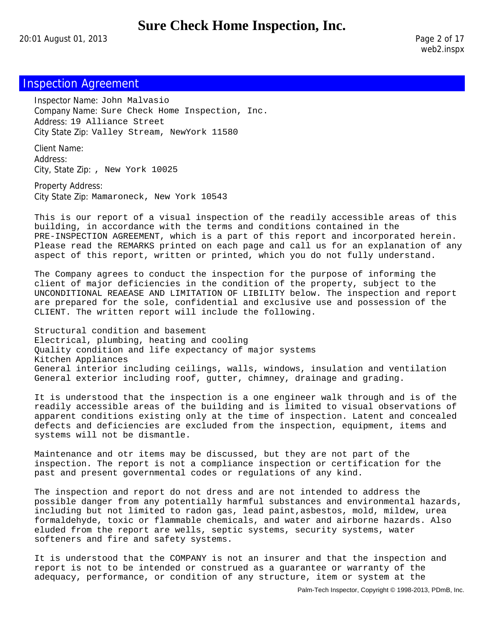20:01 August 01, 2013 Page 2 of 17

web2.inspx

### Inspection Agreement

Inspector Name: John Malvasio Company Name: Sure Check Home Inspection, Inc. Address: 19 Alliance Street City State Zip: Valley Stream, NewYork 11580

Client Name: Address: City, State Zip: , New York 10025

Property Address: City State Zip: Mamaroneck, New York 10543

This is our report of a visual inspection of the readily accessible areas of this building, in accordance with the terms and conditions contained in the PRE-INSPECTION AGREEMENT, which is a part of this report and incorporated herein. Please read the REMARKS printed on each page and call us for an explanation of any aspect of this report, written or printed, which you do not fully understand.

The Company agrees to conduct the inspection for the purpose of informing the client of major deficiencies in the condition of the property, subject to the UNCONDITIONAL REAEASE AND LIMITATION OF LIBILITY below. The inspection and report are prepared for the sole, confidential and exclusive use and possession of the CLIENT. The written report will include the following.

Structural condition and basement Electrical, plumbing, heating and cooling Quality condition and life expectancy of major systems Kitchen Appliances General interior including ceilings, walls, windows, insulation and ventilation General exterior including roof, gutter, chimney, drainage and grading.

It is understood that the inspection is a one engineer walk through and is of the readily accessible areas of the building and is limited to visual observations of apparent conditions existing only at the time of inspection. Latent and concealed defects and deficiencies are excluded from the inspection, equipment, items and systems will not be dismantle.

Maintenance and otr items may be discussed, but they are not part of the inspection. The report is not a compliance inspection or certification for the past and present governmental codes or regulations of any kind.

The inspection and report do not dress and are not intended to address the possible danger from any potentially harmful substances and environmental hazards, including but not limited to radon gas, lead paint,asbestos, mold, mildew, urea formaldehyde, toxic or flammable chemicals, and water and airborne hazards. Also eluded from the report are wells, septic systems, security systems, water softeners and fire and safety systems.

It is understood that the COMPANY is not an insurer and that the inspection and report is not to be intended or construed as a guarantee or warranty of the adequacy, performance, or condition of any structure, item or system at the

Palm-Tech Inspector, Copyright © 1998-2013, PDmB, Inc.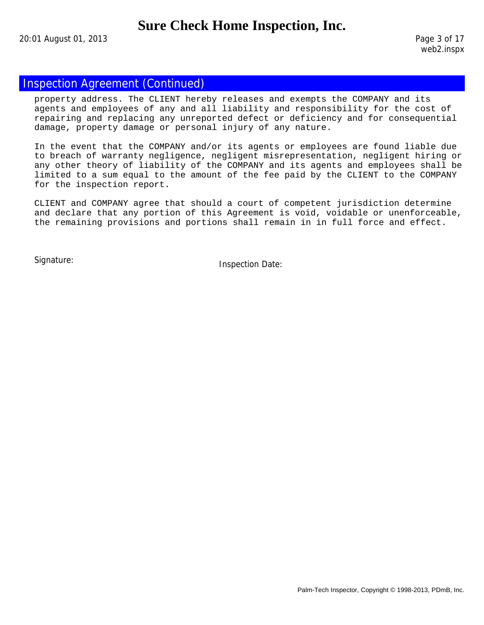20:01 August 01, 2013 Page 3 of 17

### Inspection Agreement (Continued)

property address. The CLIENT hereby releases and exempts the COMPANY and its agents and employees of any and all liability and responsibility for the cost of repairing and replacing any unreported defect or deficiency and for consequential damage, property damage or personal injury of any nature.

In the event that the COMPANY and/or its agents or employees are found liable due to breach of warranty negligence, negligent misrepresentation, negligent hiring or any other theory of liability of the COMPANY and its agents and employees shall be limited to a sum equal to the amount of the fee paid by the CLIENT to the COMPANY for the inspection report.

CLIENT and COMPANY agree that should a court of competent jurisdiction determine and declare that any portion of this Agreement is void, voidable or unenforceable, the remaining provisions and portions shall remain in in full force and effect.

Signature: Inspection Date: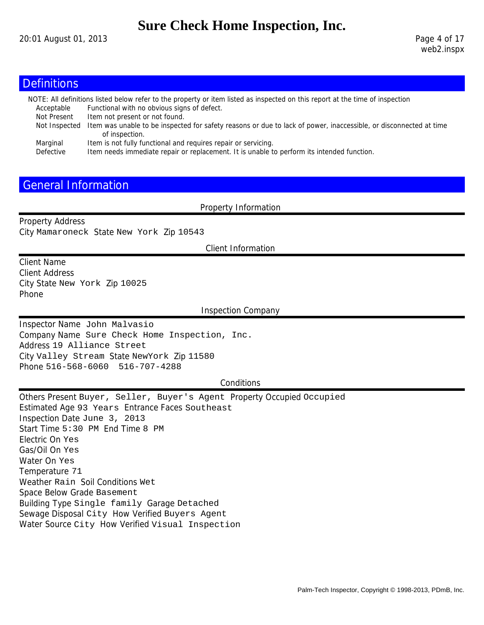### **Definitions**

|               | NOTE: All definitions listed below refer to the property or item listed as inspected on this report at the time of inspection       |
|---------------|-------------------------------------------------------------------------------------------------------------------------------------|
| Acceptable    | Functional with no obvious signs of defect.                                                                                         |
| Not Present   | Item not present or not found.                                                                                                      |
| Not Inspected | Item was unable to be inspected for safety reasons or due to lack of power, inaccessible, or disconnected at time<br>of inspection. |
| Marginal      | Item is not fully functional and requires repair or servicing.                                                                      |
| Defective     | Item needs immediate repair or replacement. It is unable to perform its intended function.                                          |

### General Information

Property Information

Property Address City Mamaroneck State New York Zip 10543

Client Information

Client Name Client Address City State New York Zip 10025 Phone

Inspection Company

Inspector Name John Malvasio Company Name Sure Check Home Inspection, Inc. Address 19 Alliance Street City Valley Stream State NewYork Zip 11580 Phone 516-568-6060 516-707-4288

#### **Conditions**

Others Present Buyer, Seller, Buyer's Agent Property Occupied Occupied Estimated Age 93 Years Entrance Faces Southeast Inspection Date June 3, 2013 Start Time 5:30 PM End Time 8 PM Electric On Yes Gas/Oil On Yes Water On Yes Temperature 71 Weather Rain Soil Conditions Wet Space Below Grade Basement Building Type Single family Garage Detached Sewage Disposal City How Verified Buyers Agent Water Source City How Verified Visual Inspection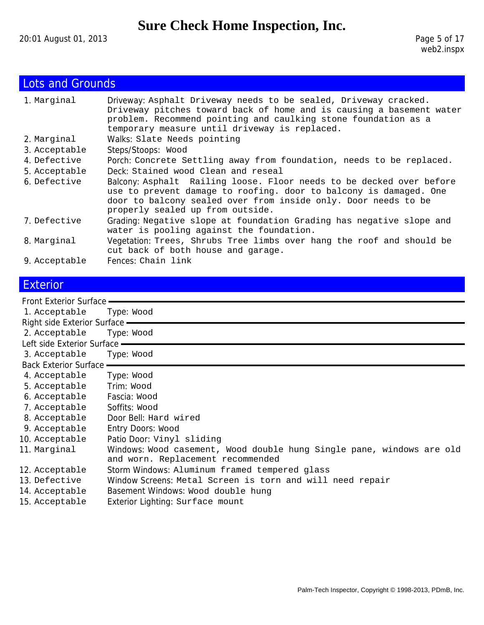# Lots and Grounds

| 1. Marginal   | Driveway: Asphalt Driveway needs to be sealed, Driveway cracked.<br>Driveway pitches toward back of home and is causing a basement water<br>problem. Recommend pointing and caulking stone foundation as a<br>temporary measure until driveway is replaced. |
|---------------|-------------------------------------------------------------------------------------------------------------------------------------------------------------------------------------------------------------------------------------------------------------|
| 2. Marginal   | Walks: Slate Needs pointing                                                                                                                                                                                                                                 |
| 3. Acceptable | Steps/Stoops: Wood                                                                                                                                                                                                                                          |
| 4. Defective  | Porch: Concrete Settling away from foundation, needs to be replaced.                                                                                                                                                                                        |
| 5. Acceptable | Deck: Stained wood Clean and reseal                                                                                                                                                                                                                         |
| 6 Defective   | Balcony: Asphalt Railing loose. Floor needs to be decked over before<br>use to prevent damage to roofing. door to balcony is damaged. One<br>door to balcony sealed over from inside only. Door needs to be<br>properly sealed up from outside.             |
| 7. Defective  | Grading: Negative slope at foundation Grading has negative slope and<br>water is pooling against the foundation.                                                                                                                                            |
| 8. Marginal   | Vegetation: Trees, Shrubs Tree limbs over hang the roof and should be<br>cut back of both house and garage.                                                                                                                                                 |
| 9. Acceptable | Fences: Chain link                                                                                                                                                                                                                                          |

## **Exterior**

| Front Exterior Surface -       |                                                                                                            |
|--------------------------------|------------------------------------------------------------------------------------------------------------|
| 1. Acceptable                  | Type: Wood                                                                                                 |
| Right side Exterior Surface —  |                                                                                                            |
| 2. Acceptable                  | Type: Wood                                                                                                 |
| Left side Exterior Surface -   |                                                                                                            |
| 3. Acceptable                  | Type: Wood                                                                                                 |
| <b>Back Exterior Surface -</b> |                                                                                                            |
| 4. Acceptable                  | Type: Wood                                                                                                 |
| 5. Acceptable                  | Trim: Wood                                                                                                 |
| 6. Acceptable                  | Fascia: Wood                                                                                               |
| 7. Acceptable                  | Soffits: Wood                                                                                              |
| 8. Acceptable                  | Door Bell: Hard wired                                                                                      |
| 9. Acceptable                  | Entry Doors: Wood                                                                                          |
| 10. Acceptable                 | Patio Door: Vinyl sliding                                                                                  |
| 11. Marginal                   | Windows: Wood casement, Wood double hung Single pane, windows are old<br>and worn. Replacement recommended |
| 12. Acceptable                 | Storm Windows: Aluminum framed tempered glass                                                              |
| 13. Defective                  | Window Screens: Metal Screen is torn and will need repair                                                  |
| 14. Acceptable                 | Basement Windows: Wood double hung                                                                         |
| 15. Acceptable                 | Exterior Lighting: Surface mount                                                                           |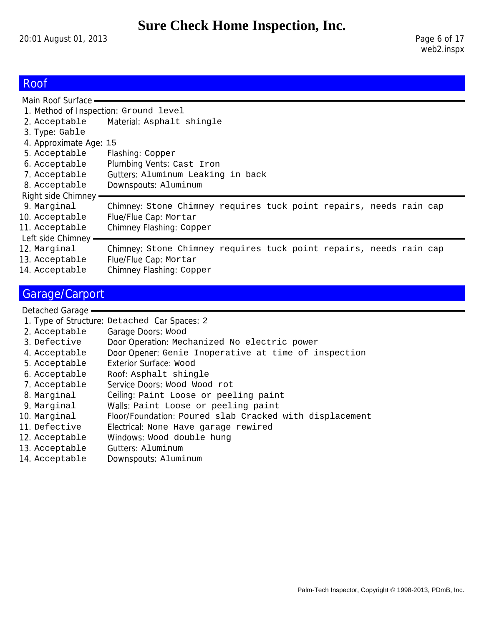20:01 August 01, 2013 20:01 August 01, 2013

## Roof

| Main Roof Surface -                   |                                                                    |
|---------------------------------------|--------------------------------------------------------------------|
| 1. Method of Inspection: Ground level |                                                                    |
| 2. Acceptable                         | Material: Asphalt shingle                                          |
| 3. Type: Gable                        |                                                                    |
| 4. Approximate Age: 15                |                                                                    |
| 5. Acceptable                         | Flashing: Copper                                                   |
| 6. Acceptable                         | Plumbing Vents: Cast Iron                                          |
| 7. Acceptable                         | Gutters: Aluminum Leaking in back                                  |
| 8. Acceptable                         | Downspouts: Aluminum                                               |
| Right side Chimney                    |                                                                    |
| 9. Marginal                           | Chimney: Stone Chimney requires tuck point repairs, needs rain cap |
| 10. Acceptable                        | Flue/Flue Cap: Mortar                                              |
| 11. Acceptable                        | Chimney Flashing: Copper                                           |
| Left side Chimney                     |                                                                    |
| 12. Marginal                          | Chimney: Stone Chimney requires tuck point repairs, needs rain cap |
| 13. Acceptable                        | Flue/Flue Cap: Mortar                                              |
| 14. Acceptable                        | Chimney Flashing: Copper                                           |

# Garage/Carport

| 1. Type of Structure: Detached Car Spaces: 2            |
|---------------------------------------------------------|
| Garage Doors: Wood                                      |
| Door Operation: Mechanized No electric power            |
| Door Opener: Genie Inoperative at time of inspection    |
| Exterior Surface: Wood                                  |
| Roof: Asphalt shingle                                   |
| Service Doors: Wood Wood rot                            |
| Ceiling: Paint Loose or peeling paint                   |
| Walls: Paint Loose or peeling paint                     |
| Floor/Foundation: Poured slab Cracked with displacement |
| Electrical: None Have garage rewired                    |
| Windows: Wood double hung                               |
| Gutters: Aluminum                                       |
| Downspouts: Aluminum                                    |
|                                                         |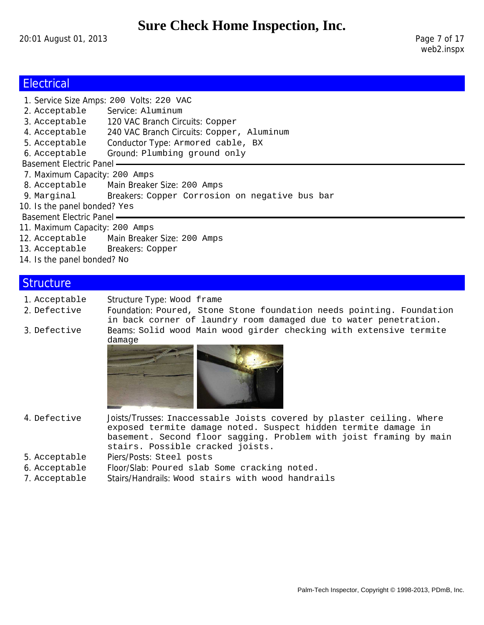20:01 August 01, 2013 2001 2002 20:01 August 01, 2013

web2.inspx

## **Electrical**

|                                  | 1. Service Size Amps: 200 Volts: 220 VAC                   |
|----------------------------------|------------------------------------------------------------|
| 2. Acceptable Service: Aluminum  |                                                            |
|                                  | 3. Acceptable 120 VAC Branch Circuits: Copper              |
| 4. Acceptable                    | 240 VAC Branch Circuits: Copper, Aluminum                  |
| 5. Acceptable                    | Conductor Type: Armored cable, BX                          |
| 6. Acceptable                    | Ground: Plumbing ground only                               |
| <b>Basement Electric Panel -</b> |                                                            |
| 7. Maximum Capacity: 200 Amps    |                                                            |
|                                  | 8. Acceptable Main Breaker Size: 200 Amps                  |
|                                  | 9. Marginal Breakers: Copper Corrosion on negative bus bar |
| 10. Is the panel bonded? Yes     |                                                            |
| Basement Electric Panel —        |                                                            |
| 11. Maximum Capacity: 200 Amps   |                                                            |
|                                  | 12. Acceptable Main Breaker Size: 200 Amps                 |
| 13. Acceptable Breakers: Copper  |                                                            |
| 14. Is the panel bonded? No      |                                                            |
|                                  |                                                            |

### **Structure**

1. Acceptable Structure Type: Wood frame

2. Defective Foundation: Poured, Stone Stone foundation needs pointing. Foundation in back corner of laundry room damaged due to water penetration. 3. Defective Beams: Solid wood Main wood girder checking with extensive termite damage



- 4. Defective Joists/Trusses: Inaccessable Joists covered by plaster ceiling. Where exposed termite damage noted. Suspect hidden termite damage in basement. Second floor sagging. Problem with joist framing by main stairs. Possible cracked joists.
- 5. Acceptable Piers/Posts: Steel posts
- 6. Acceptable Floor/Slab: Poured slab Some cracking noted.
- 7. Acceptable Stairs/Handrails: Wood stairs with wood handrails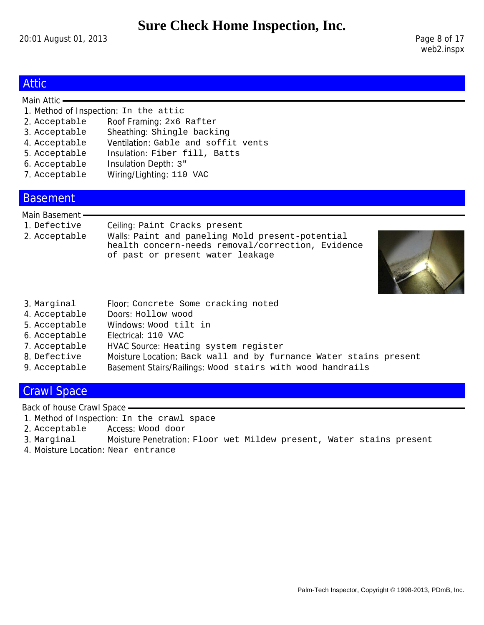20:01 August 01, 2013 2008 2009 2010 2020 20:01 August 01, 2013

web2.inspx

### Attic

#### Main Attic -

- 1. Method of Inspection: In the attic
- 2. Acceptable Roof Framing: 2x6 Rafter
- 3. Acceptable Sheathing: Shingle backing
- 4. Acceptable Ventilation: Gable and soffit vents
- 5. Acceptable Insulation: Fiber fill, Batts
- 6. Acceptable Insulation Depth: 3"
- 7. Acceptable Wiring/Lighting: 110 VAC

### Basement

#### Main Basement

1. Defective Ceiling: Paint Cracks present 2. Acceptable Walls: Paint and paneling Mold present-potential health concern-needs removal/correction, Evidence of past or present water leakage



- 3. Marginal Floor: Concrete Some cracking noted
- 4. Acceptable Doors: Hollow wood
- 5. Acceptable Windows: Wood tilt in
- 6. Acceptable Electrical: 110 VAC
- 7. Acceptable HVAC Source: Heating system register
- 8. Defective Moisture Location: Back wall and by furnance Water stains present
- 9. Acceptable Basement Stairs/Railings: Wood stairs with wood handrails

#### Crawl Space

Back of house Crawl Space

- 1. Method of Inspection: In the crawl space
- 2. Acceptable Access: Wood door
- 3. Marginal Moisture Penetration: Floor wet Mildew present, Water stains present
- 4. Moisture Location: Near entrance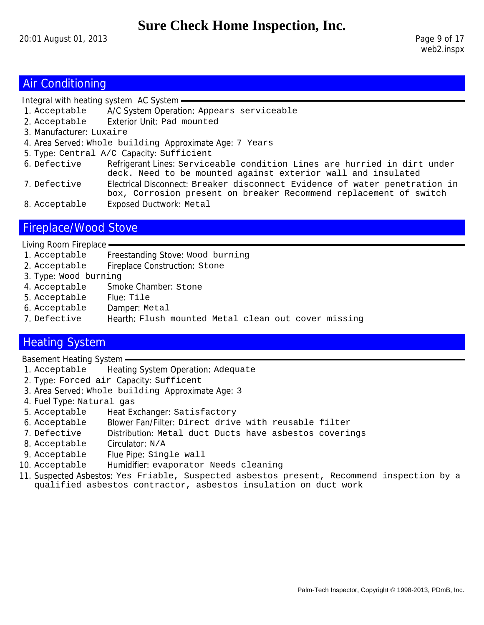### Air Conditioning

Integral with heating system AC System

- 1. Acceptable A/C System Operation: Appears serviceable
- 2. Acceptable Exterior Unit: Pad mounted
- 3. Manufacturer: Luxaire
- 4. Area Served: Whole building Approximate Age: 7 Years
- 5. Type: Central A/C Capacity: Sufficient
- 6. Defective Refrigerant Lines: Serviceable condition Lines are hurried in dirt under deck. Need to be mounted against exterior wall and insulated
- 7. Defective Electrical Disconnect: Breaker disconnect Evidence of water penetration in box, Corrosion present on breaker Recommend replacement of switch
- 8. Acceptable Exposed Ductwork: Metal

### Fireplace/Wood Stove

Living Room Fireplace

- 1. Acceptable Freestanding Stove: Wood burning
- 2. Acceptable Fireplace Construction: Stone
- 3. Type: Wood burning
- 4. Acceptable Smoke Chamber: Stone
- 5. Acceptable Flue: Tile
- 6. Acceptable Damper: Metal
- 7. Defective Hearth: Flush mounted Metal clean out cover missing

### Heating System

Basement Heating System

- 1. Acceptable Heating System Operation: Adequate
- 2. Type: Forced air Capacity: Sufficent
- 3. Area Served: Whole building Approximate Age: 3
- 4. Fuel Type: Natural gas
- 5. Acceptable Heat Exchanger: Satisfactory
- 6. Acceptable Blower Fan/Filter: Direct drive with reusable filter
- 7. Defective Distribution: Metal duct Ducts have asbestos coverings
- 8. Acceptable Circulator: N/A
- 9. Acceptable Flue Pipe: Single wall
- 10. Acceptable Humidifier: evaporator Needs cleaning
- 11. Suspected Asbestos: Yes Friable, Suspected asbestos present, Recommend inspection by a qualified asbestos contractor, asbestos insulation on duct work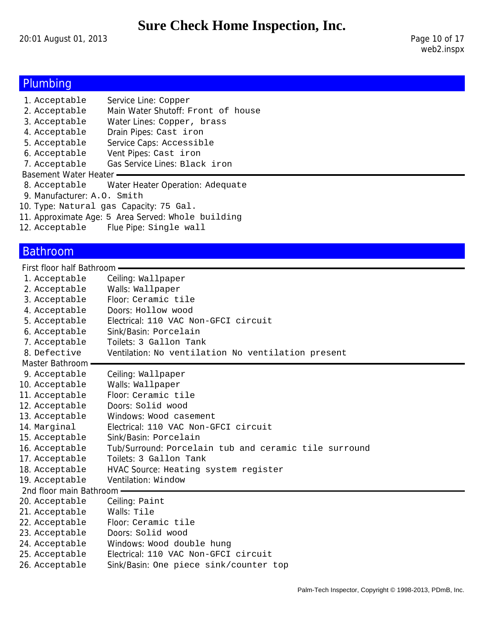20:01 August 01, 2013 Page 10 of 17

## Plumbing

| 1. Acceptable               | Service Line: Copper                               |
|-----------------------------|----------------------------------------------------|
| 2. Acceptable               | Main Water Shutoff: Front of house                 |
| 3. Acceptable               | Water Lines: Copper, brass                         |
| 4. Acceptable               | Drain Pipes: Cast iron                             |
| 5. Acceptable               | Service Caps: Accessible                           |
| 6. Acceptable               | Vent Pipes: Cast iron                              |
| 7. Acceptable               | Gas Service Lines: Black iron                      |
| Basement Water Heater       |                                                    |
| 8. Acceptable               | Water Heater Operation: Adequate                   |
| 9. Manufacturer: A.O. Smith |                                                    |
|                             | 10. Type: Natural gas Capacity: 75 Gal.            |
|                             | 11. Approximate Age: 5 Area Served: Whole building |
| 12. Acceptable              | Flue Pipe: Single wall                             |
|                             |                                                    |

## Bathroom

First floor half Bathroom

| 1. Acceptable             | Ceiling: Wallpaper                                    |
|---------------------------|-------------------------------------------------------|
| 2. Acceptable             | Walls: Wallpaper                                      |
| 3. Acceptable             | Floor: Ceramic tile                                   |
| 4. Acceptable             | Doors: Hollow wood                                    |
| 5. Acceptable             | Electrical: 110 VAC Non-GFCI circuit                  |
| 6. Acceptable             | Sink/Basin: Porcelain                                 |
| 7. Acceptable             | Toilets: 3 Gallon Tank                                |
| 8. Defective              | Ventilation: No ventilation No ventilation present    |
| Master Bathroom -         |                                                       |
| 9. Acceptable             | Ceiling: Wallpaper                                    |
| 10. Acceptable            | Walls: Wallpaper                                      |
| 11. Acceptable            | Floor: Ceramic tile                                   |
| 12. Acceptable            | Doors: Solid wood                                     |
| 13. Acceptable            | Windows: Wood casement                                |
| 14. Marginal              | Electrical: 110 VAC Non-GFCI circuit                  |
| 15. Acceptable            | Sink/Basin: Porcelain                                 |
| 16. Acceptable            | Tub/Surround: Porcelain tub and ceramic tile surround |
| 17. Acceptable            | Toilets: 3 Gallon Tank                                |
| 18. Acceptable            | HVAC Source: Heating system register                  |
| 19. Acceptable            | Ventilation: Window                                   |
| 2nd floor main Bathroom - |                                                       |
| 20. Acceptable            | Ceiling: Paint                                        |
| 21. Acceptable            | Walls: Tile                                           |
| 22. Acceptable            | Floor: Ceramic tile                                   |
| 23. Acceptable            | Doors: Solid wood                                     |
| 24. Acceptable            | Windows: Wood double hung                             |
| 25. Acceptable            | Electrical: 110 VAC Non-GFCI circuit                  |
| 26. Acceptable            | Sink/Basin: One piece sink/counter top                |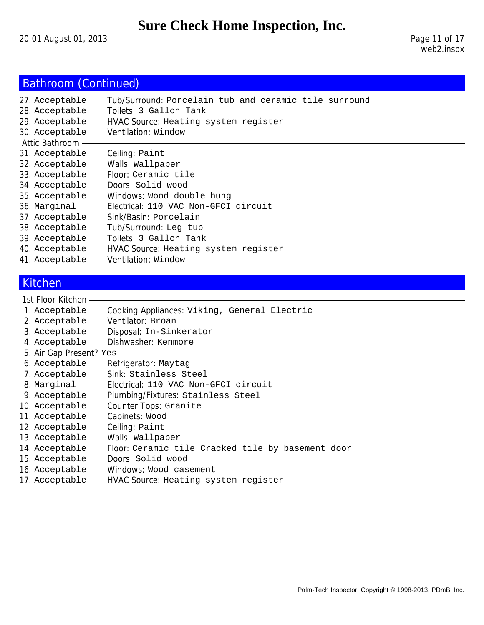20:01 August 01, 2013 20:01 August 01, 2013

# Bathroom (Continued)

| 27. Acceptable<br>28. Acceptable<br>29. Acceptable<br>30. Acceptable<br>Attic Bathroom · | Tub/Surround: Porcelain tub and ceramic tile surround<br>Toilets: 3 Gallon Tank<br>HVAC Source: Heating system register<br>Ventilation: Window |
|------------------------------------------------------------------------------------------|------------------------------------------------------------------------------------------------------------------------------------------------|
| 31. Acceptable                                                                           | Ceiling: Paint                                                                                                                                 |
| 32. Acceptable                                                                           | Walls: Wallpaper                                                                                                                               |
| 33. Acceptable                                                                           | Floor: Ceramic tile                                                                                                                            |
| 34. Acceptable                                                                           | Doors: Solid wood                                                                                                                              |
| 35. Acceptable                                                                           | Windows: Wood double hung                                                                                                                      |
| 36. Marginal                                                                             | Electrical: 110 VAC Non-GFCI circuit                                                                                                           |
| 37. Acceptable                                                                           | Sink/Basin: Porcelain                                                                                                                          |
| 38. Acceptable                                                                           | Tub/Surround: Leg tub                                                                                                                          |
| 39. Acceptable                                                                           | Toilets: 3 Gallon Tank                                                                                                                         |
| 40. Acceptable                                                                           | HVAC Source: Heating system register                                                                                                           |
| 41. Acceptable                                                                           | Ventilation: Window                                                                                                                            |

### Kitchen

#### 1st Floor Kitchen -

| 1. Acceptable           | Cooking Appliances: Viking, General Electric      |
|-------------------------|---------------------------------------------------|
| 2. Acceptable           | Ventilator: Broan                                 |
| 3. Acceptable           | Disposal: In-Sinkerator                           |
| 4. Acceptable           | Dishwasher: Kenmore                               |
| 5. Air Gap Present? Yes |                                                   |
| 6. Acceptable           | Refrigerator: Maytag                              |
| 7. Acceptable           | Sink: Stainless Steel                             |
| 8. Marginal             | Electrical: 110 VAC Non-GFCI circuit              |
| 9. Acceptable           | Plumbing/Fixtures: Stainless Steel                |
| 10. Acceptable          | Counter Tops: Granite                             |
| 11. Acceptable          | Cabinets: Wood                                    |
| 12. Acceptable          | Ceiling: Paint                                    |
| 13. Acceptable          | Walls: Wallpaper                                  |
| 14. Acceptable          | Floor: Ceramic tile Cracked tile by basement door |
| 15. Acceptable          | Doors: Solid wood                                 |
| 16. Acceptable          | Windows: Wood casement                            |

17. Acceptable HVAC Source: Heating system register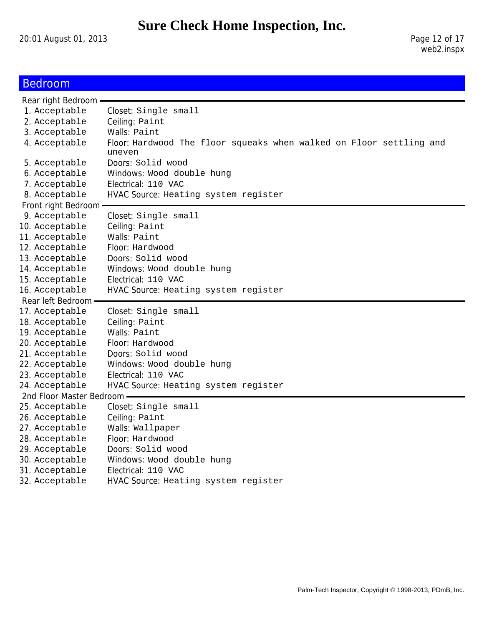20:01 August 01, 2013 Page 12 of 17

# Bedroom

| Rear right Bedroom -       |                                                                               |
|----------------------------|-------------------------------------------------------------------------------|
| 1. Acceptable              | Closet: Single small                                                          |
| 2. Acceptable              | Ceiling: Paint                                                                |
| 3. Acceptable              | Walls: Paint                                                                  |
| 4. Acceptable              | Floor: Hardwood The floor squeaks when walked on Floor settling and<br>uneven |
| 5. Acceptable              | Doors: Solid wood                                                             |
| 6. Acceptable              | Windows: Wood double hung                                                     |
| 7. Acceptable              | Electrical: 110 VAC                                                           |
| 8. Acceptable              | HVAC Source: Heating system register                                          |
| Front right Bedroom -      |                                                                               |
| 9. Acceptable              | Closet: Single small                                                          |
| 10. Acceptable             | Ceiling: Paint                                                                |
| 11. Acceptable             | Walls: Paint                                                                  |
| 12. Acceptable             | Floor: Hardwood                                                               |
| 13. Acceptable             | Doors: Solid wood                                                             |
| 14. Acceptable             | Windows: Wood double hung                                                     |
| 15. Acceptable             | Electrical: 110 VAC                                                           |
| 16. Acceptable             | HVAC Source: Heating system register                                          |
|                            |                                                                               |
| Rear left Bedroom -        |                                                                               |
| 17. Acceptable             | Closet: Single small                                                          |
| 18. Acceptable             | Ceiling: Paint                                                                |
| 19. Acceptable             | Walls: Paint                                                                  |
| 20. Acceptable             | Floor: Hardwood                                                               |
| 21. Acceptable             | Doors: Solid wood                                                             |
| 22. Acceptable             | Windows: Wood double hung                                                     |
| 23. Acceptable             | Electrical: 110 VAC                                                           |
| 24. Acceptable             | HVAC Source: Heating system register                                          |
| 2nd Floor Master Bedroom - |                                                                               |
| 25. Acceptable             | Closet: Single small                                                          |
| 26. Acceptable             | Ceiling: Paint                                                                |
| 27. Acceptable             | Walls: Wallpaper                                                              |
| 28. Acceptable             | Floor: Hardwood                                                               |
| 29. Acceptable             | Doors: Solid wood                                                             |
| 30. Acceptable             | Windows: Wood double hung                                                     |
| 31. Acceptable             | Electrical: 110 VAC                                                           |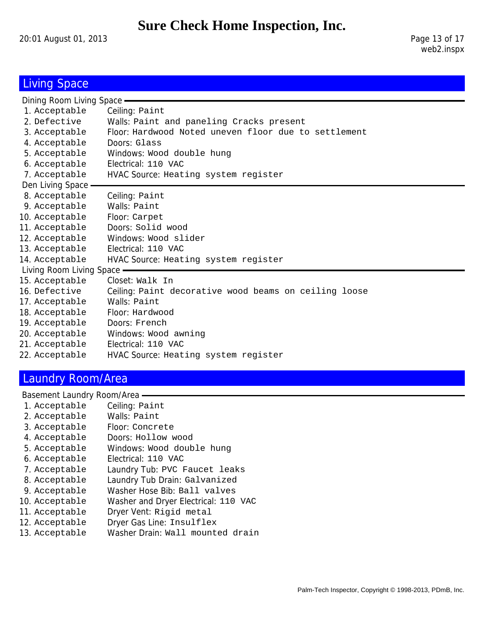20:01 August 01, 2013 Page 13 of 17

# **Living Space**

| Dining Room Living Space - |                                                       |  |
|----------------------------|-------------------------------------------------------|--|
| 1. Acceptable              | Ceiling: Paint                                        |  |
| 2. Defective               | Walls: Paint and paneling Cracks present              |  |
| 3. Acceptable              | Floor: Hardwood Noted uneven floor due to settlement  |  |
| 4. Acceptable              | Doors: Glass                                          |  |
| 5. Acceptable              | Windows: Wood double hung                             |  |
| 6. Acceptable              | Electrical: 110 VAC                                   |  |
| 7. Acceptable              | HVAC Source: Heating system register                  |  |
| Den Living Space -         |                                                       |  |
| 8. Acceptable              | Ceiling: Paint                                        |  |
| 9. Acceptable              | Walls: Paint                                          |  |
| 10. Acceptable             | Floor: Carpet                                         |  |
| 11. Acceptable             | Doors: Solid wood                                     |  |
| 12. Acceptable             | Windows: Wood slider                                  |  |
| 13. Acceptable             | Electrical: 110 VAC                                   |  |
| 14. Acceptable             | HVAC Source: Heating system register                  |  |
| Living Room Living Space - |                                                       |  |
| 15. Acceptable             | Closet: Walk In                                       |  |
| 16. Defective              | Ceiling: Paint decorative wood beams on ceiling loose |  |
| 17. Acceptable             | Walls: Paint                                          |  |
| 18. Acceptable             | Floor: Hardwood                                       |  |
| 19. Acceptable             | Doors: French                                         |  |
| 20. Acceptable             | Windows: Wood awning                                  |  |
| 21. Acceptable             | Electrical: 110 VAC                                   |  |
| 22. Acceptable             | HVAC Source: Heating system register                  |  |
|                            |                                                       |  |

## Laundry Room/Area

| Basement Laundry Room/Area |                                      |  |  |  |
|----------------------------|--------------------------------------|--|--|--|
| 1. Acceptable              | Ceiling: Paint                       |  |  |  |
| 2. Acceptable              | Walls: Paint                         |  |  |  |
| 3. Acceptable              | Floor: Concrete                      |  |  |  |
| 4. Acceptable              | Doors: Hollow wood                   |  |  |  |
| 5. Acceptable              | Windows: Wood double hung            |  |  |  |
| 6. Acceptable              | Electrical: 110 VAC                  |  |  |  |
| 7. Acceptable              | Laundry Tub: PVC Faucet leaks        |  |  |  |
| 8. Acceptable              | Laundry Tub Drain: Galvanized        |  |  |  |
| 9. Acceptable              | Washer Hose Bib: Ball valves         |  |  |  |
| 10. Acceptable             | Washer and Dryer Electrical: 110 VAC |  |  |  |
| 11. Acceptable             | Dryer Vent: Rigid metal              |  |  |  |
| 12. Acceptable             | Dryer Gas Line: Insulflex            |  |  |  |
| 13. Acceptable             | Washer Drain: Wall mounted drain     |  |  |  |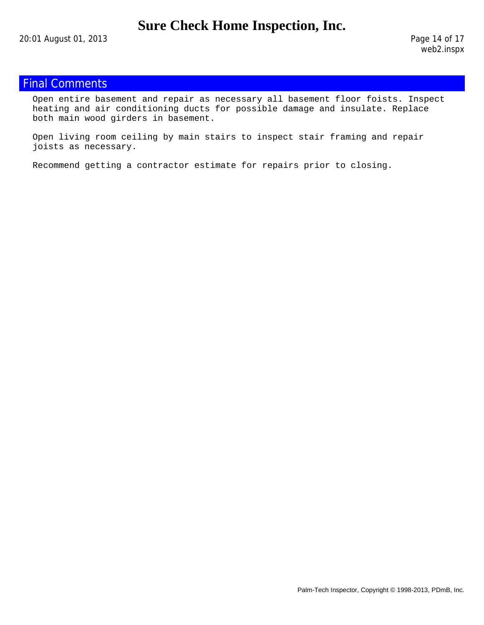## Final Comments

Open entire basement and repair as necessary all basement floor foists. Inspect heating and air conditioning ducts for possible damage and insulate. Replace both main wood girders in basement.

Open living room ceiling by main stairs to inspect stair framing and repair joists as necessary.

Recommend getting a contractor estimate for repairs prior to closing.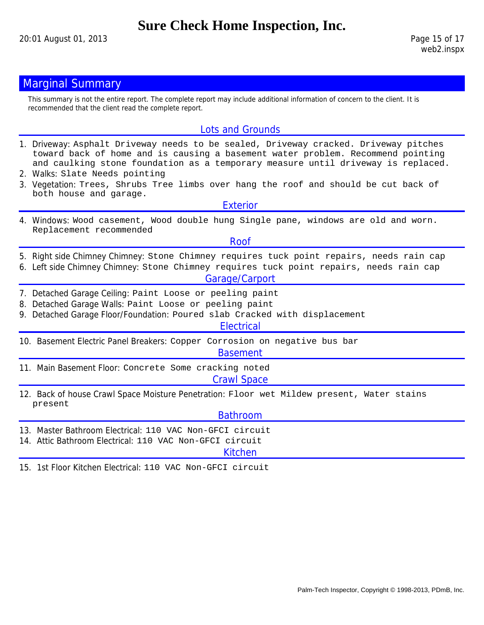## **Marginal Summary**

This summary is not the entire report. The complete report may include additional information of concern to the client. It is recommended that the client read the complete report.

#### Lots and Grounds

- 1. Driveway: Asphalt Driveway needs to be sealed, Driveway cracked. Driveway pitches toward back of home and is causing a basement water problem. Recommend pointing and caulking stone foundation as a temporary measure until driveway is replaced.
- 2. Walks: Slate Needs pointing
- 3. Vegetation: Trees, Shrubs Tree limbs over hang the roof and should be cut back of both house and garage.

Exterior

4. Windows: Wood casement, Wood double hung Single pane, windows are old and worn. Replacement recommended

Roof

- 5. Right side Chimney Chimney: Stone Chimney requires tuck point repairs, needs rain cap
- 6. Left side Chimney Chimney: Stone Chimney requires tuck point repairs, needs rain cap

#### Garage/Carport

- 7. Detached Garage Ceiling: Paint Loose or peeling paint
- 8. Detached Garage Walls: Paint Loose or peeling paint
- 9. Detached Garage Floor/Foundation: Poured slab Cracked with displacement

**Electrical** 

10. Basement Electric Panel Breakers: Copper Corrosion on negative bus bar

#### Basement

- 11. Main Basement Floor: Concrete Some cracking noted Crawl Space
- 12. Back of house Crawl Space Moisture Penetration: Floor wet Mildew present, Water stains present

#### Bathroom

- 13. Master Bathroom Electrical: 110 VAC Non-GFCI circuit
- 14. Attic Bathroom Electrical: 110 VAC Non-GFCI circuit

Kitchen

15. 1st Floor Kitchen Electrical: 110 VAC Non-GFCI circuit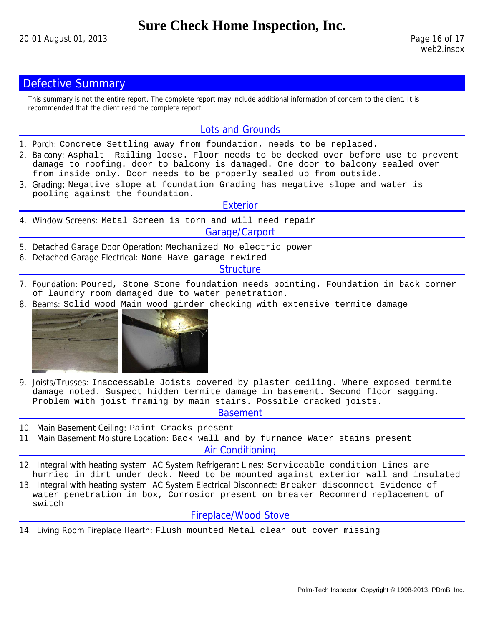## **Defective Summary**

This summary is not the entire report. The complete report may include additional information of concern to the client. It is recommended that the client read the complete report.

#### Lots and Grounds

- 1. Porch: Concrete Settling away from foundation, needs to be replaced.
- 2. Balcony: Asphalt Railing loose. Floor needs to be decked over before use to prevent damage to roofing. door to balcony is damaged. One door to balcony sealed over from inside only. Door needs to be properly sealed up from outside.
- 3. Grading: Negative slope at foundation Grading has negative slope and water is pooling against the foundation.

#### **Exterior**

4. Window Screens: Metal Screen is torn and will need repair

#### Garage/Carport

- 5. Detached Garage Door Operation: Mechanized No electric power
- 6. Detached Garage Electrical: None Have garage rewired

#### **Structure**

- 7. Foundation: Poured, Stone Stone foundation needs pointing. Foundation in back corner of laundry room damaged due to water penetration.
- 8. Beams: Solid wood Main wood girder checking with extensive termite damage



9. Joists/Trusses: Inaccessable Joists covered by plaster ceiling. Where exposed termite damage noted. Suspect hidden termite damage in basement. Second floor sagging. Problem with joist framing by main stairs. Possible cracked joists.

#### Basement

- 10. Main Basement Ceiling: Paint Cracks present
- 11. Main Basement Moisture Location: Back wall and by furnance Water stains present

Air Conditioning

- 12. Integral with heating system AC System Refrigerant Lines: Serviceable condition Lines are hurried in dirt under deck. Need to be mounted against exterior wall and insulated
- 13. Integral with heating system AC System Electrical Disconnect: Breaker disconnect Evidence of water penetration in box, Corrosion present on breaker Recommend replacement of switch

#### Fireplace/Wood Stove

14. Living Room Fireplace Hearth: Flush mounted Metal clean out cover missing